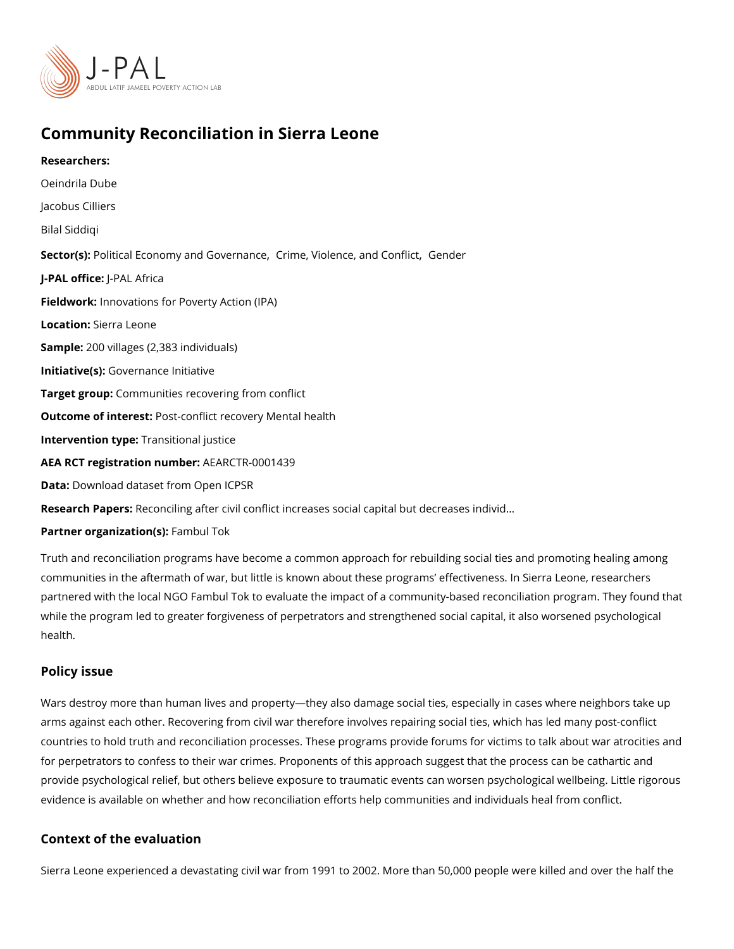## Community Reconciliation in Sierra Leone

Researchers: [Oeindrila](https://www.povertyactionlab.org/person/dube) Dube Jacobus Cilliers Bilal Siddiqi Sector(Ro)litical Economy and GO wierren[,](https://www.povertyactionlab.org/sector/crime-violence-conflict) a Woice lence, an[d Con](https://www.povertyactionlab.org/sector/gender)coheffict J-PAL offlicReAL Africa Fieldworkhovations for Poverty Action (IPA) Locatio**S**ierra Leone Sample: 00 villages (2,383 individuals) Initiative (GSO) vernance Initiative Target gro@pmmunities recovering from conflict Outcome of interest: conflict recovery Mental health Intervention  $t\bar{y}$  pænsitional justice AEA RCT registration ArEuAnRbCeTR-0001439 Data[Download dataset from](https://www.openicpsr.org/openicpsr/project/100193/version/V1/view) Open ICPSR Research Papersonciling after civil conflict increases social capital but decreases individe Partner organizat Fam(s)! Tok

Truth and reconciliation programs have become a common approach for rebuilding social t communities in the aftermath of war, but little is known about these programs effectivene partnered with the local NGO Fambul Tok to evaluate the impact of a community-based req while the program led to greater forgiveness of perpetrators and strengthened social capi health.

## Policy issue

Wars destroy more than human lives and property they also damage social ties, especially arms against each other. Recovering from civil war therefore involves repairing social tie countries to hold truth and reconciliation processes. These programs provide forums for v for perpetrators to confess to their war crimes. Proponents of this approach suggest that provide psychological relief, but others believe exposure to traumatic events can worsen evidence is available on whether and how reconciliation efforts help communities and indi

## Context of the evaluation

Sierra Leone experienced a devastating civil war from 1991 to 2002. More than 50,000 pe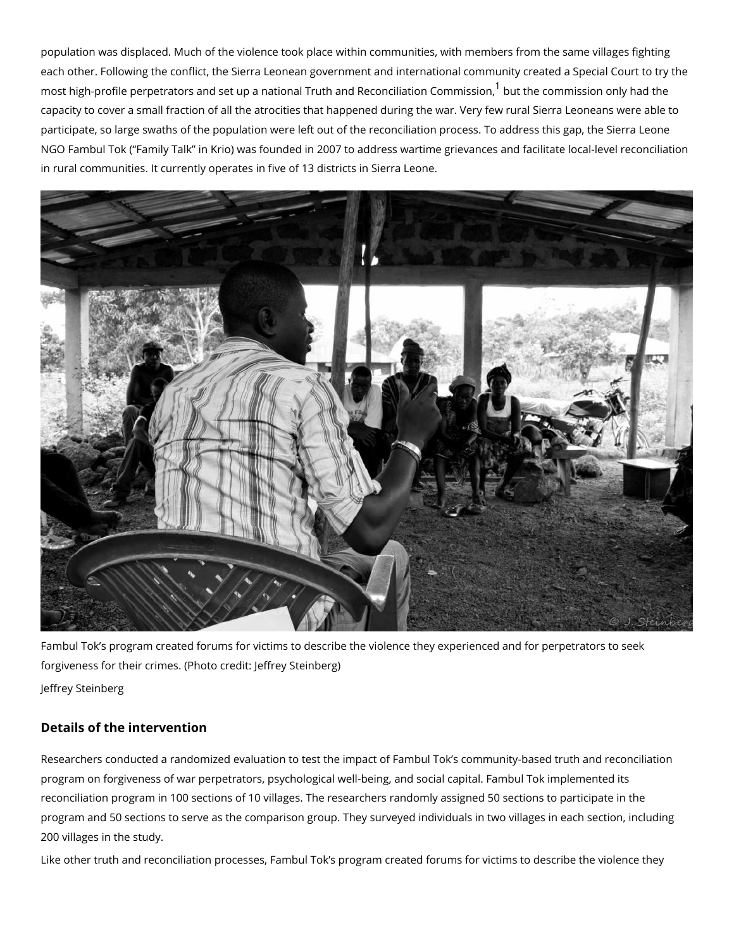population was displaced. Much of the violence took place within communities, with memb each other. Following the conflict, the Sierra Leonean government and international comm most high-profile perpetrators and set up a national Truth and and Rehoeoncoinhimation conformanty's bsand non capacity to cover a small fraction of all the atrocities that happened during the war. Very participate, so large swaths of the population were left out of the reconciliation process. NGO Fambul Tok ( Family Talk in Krio) was founded in 2007 to address wartime grievance in rural communities. It currently operates in five of 13 districts in Sierra Leone.

Fambul Tok s program created forums for victims to describe the violence they experience forgiveness for their crimes. (Photo credit: Jeffrey Steinberg) Jeffrey Steinberg

Details of the intervention

Researchers conducted a randomized evaluation to test the impact of Fambul Tok s commi program on forgiveness of war perpetrators, psychological well-being, and social capital. reconciliation program in 100 sections of 10 villages. The researchers randomly assigned program and 50 sections to serve as the comparison group. They surveyed individuals in t 200 villages in the study.

Like other truth and reconciliation processes, Fambul Tok s program created forums for v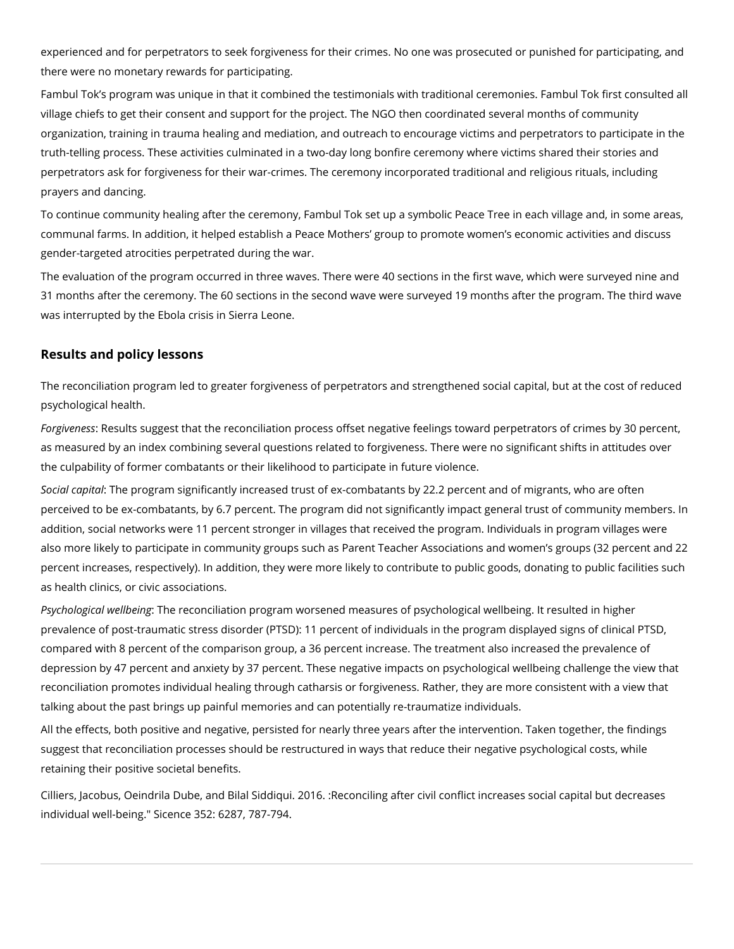experienced and for perpetrators to seek forgiveness for their crimes. No one was prosecuted or punished for participating, and there were no monetary rewards for participating.

Fambul Tok's program was unique in that it combined the testimonials with traditional ceremonies. Fambul Tok first consulted all village chiefs to get their consent and support for the project. The NGO then coordinated several months of community organization, training in trauma healing and mediation, and outreach to encourage victims and perpetrators to participate in the truth-telling process. These activities culminated in a two-day long bonfire ceremony where victims shared their stories and perpetrators ask for forgiveness for their war-crimes. The ceremony incorporated traditional and religious rituals, including prayers and dancing.

To continue community healing after the ceremony, Fambul Tok set up a symbolic Peace Tree in each village and, in some areas, communal farms. In addition, it helped establish a Peace Mothers' group to promote women's economic activities and discuss gender-targeted atrocities perpetrated during the war.

The evaluation of the program occurred in three waves. There were 40 sections in the first wave, which were surveyed nine and 31 months after the ceremony. The 60 sections in the second wave were surveyed 19 months after the program. The third wave was interrupted by the Ebola crisis in Sierra Leone.

## **Results and policy lessons**

The reconciliation program led to greater forgiveness of perpetrators and strengthened social capital, but at the cost of reduced psychological health.

*Forgiveness*: Results suggest that the reconciliation process offset negative feelings toward perpetrators of crimes by 30 percent, as measured by an index combining several questions related to forgiveness. There were no significant shifts in attitudes over the culpability of former combatants or their likelihood to participate in future violence.

*Social capital*: The program significantly increased trust of ex-combatants by 22.2 percent and of migrants, who are often perceived to be ex-combatants, by 6.7 percent. The program did not significantly impact general trust of community members. In addition, social networks were 11 percent stronger in villages that received the program. Individuals in program villages were also more likely to participate in community groups such as Parent Teacher Associations and women's groups (32 percent and 22 percent increases, respectively). In addition, they were more likely to contribute to public goods, donating to public facilities such as health clinics, or civic associations.

*Psychological wellbeing*: The reconciliation program worsened measures of psychological wellbeing. It resulted in higher prevalence of post-traumatic stress disorder (PTSD): 11 percent of individuals in the program displayed signs of clinical PTSD, compared with 8 percent of the comparison group, a 36 percent increase. The treatment also increased the prevalence of depression by 47 percent and anxiety by 37 percent. These negative impacts on psychological wellbeing challenge the view that reconciliation promotes individual healing through catharsis or forgiveness. Rather, they are more consistent with a view that talking about the past brings up painful memories and can potentially re-traumatize individuals.

All the effects, both positive and negative, persisted for nearly three years after the intervention. Taken together, the findings suggest that reconciliation processes should be restructured in ways that reduce their negative psychological costs, while retaining their positive societal benefits.

Cilliers, Jacobus, Oeindrila Dube, and Bilal Siddiqui. 2016. :Reconciling after civil conflict increases social capital but decreases individual well-being." Sicence 352: 6287, 787-794.